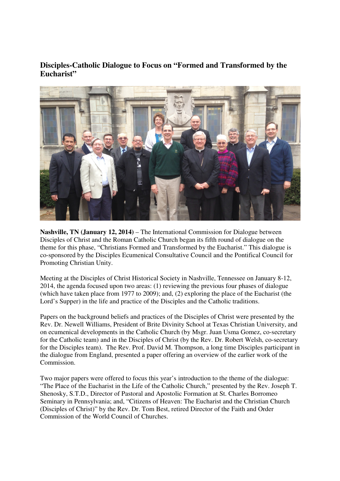## **Disciples-Catholic Dialogue to Focus on "Formed and Transformed by the Eucharist"**



**Nashville, TN (January 12, 2014)** – The International Commission for Dialogue between Disciples of Christ and the Roman Catholic Church began its fifth round of dialogue on the theme for this phase, "Christians Formed and Transformed by the Eucharist." This dialogue is co-sponsored by the Disciples Ecumenical Consultative Council and the Pontifical Council for Promoting Christian Unity.

Meeting at the Disciples of Christ Historical Society in Nashville, Tennessee on January 8-12, 2014, the agenda focused upon two areas: (1) reviewing the previous four phases of dialogue (which have taken place from 1977 to 2009); and, (2) exploring the place of the Eucharist (the Lord's Supper) in the life and practice of the Disciples and the Catholic traditions.

Papers on the background beliefs and practices of the Disciples of Christ were presented by the Rev. Dr. Newell Williams, President of Brite Divinity School at Texas Christian University, and on ecumenical developments in the Catholic Church (by Msgr. Juan Usma Gomez, co-secretary for the Catholic team) and in the Disciples of Christ (by the Rev. Dr. Robert Welsh, co-secretary for the Disciples team). The Rev. Prof. David M. Thompson, a long time Disciples participant in the dialogue from England, presented a paper offering an overview of the earlier work of the Commission.

Two major papers were offered to focus this year's introduction to the theme of the dialogue: "The Place of the Eucharist in the Life of the Catholic Church," presented by the Rev. Joseph T. Shenosky, S.T.D., Director of Pastoral and Apostolic Formation at St. Charles Borromeo Seminary in Pennsylvania; and, "Citizens of Heaven: The Eucharist and the Christian Church (Disciples of Christ)" by the Rev. Dr. Tom Best, retired Director of the Faith and Order Commission of the World Council of Churches.